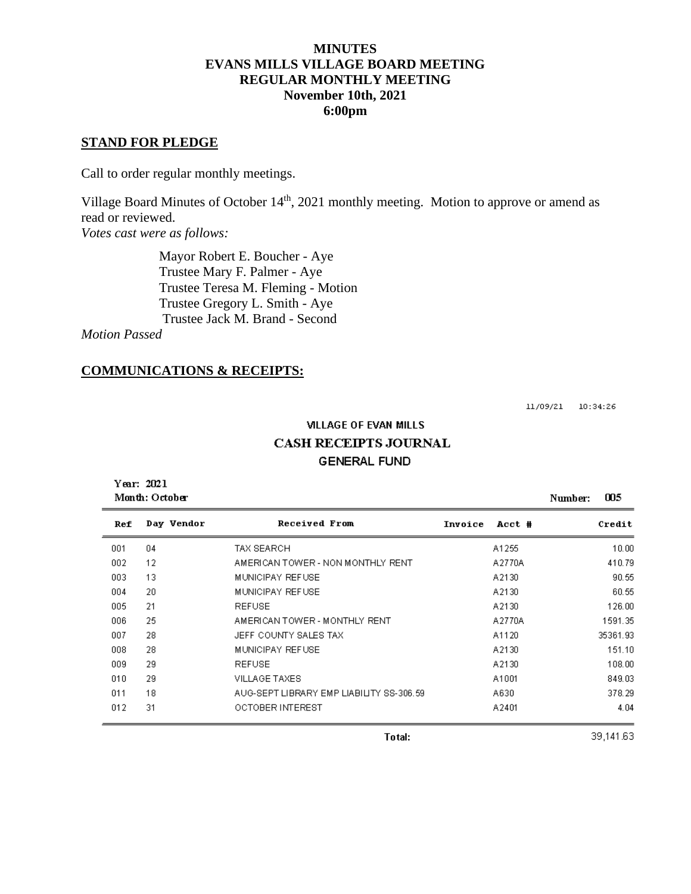#### **MINUTES EVANS MILLS VILLAGE BOARD MEETING REGULAR MONTHLY MEETING November 10th, 2021 6:00pm**

#### **STAND FOR PLEDGE**

Call to order regular monthly meetings.

Village Board Minutes of October 14<sup>th</sup>, 2021 monthly meeting. Motion to approve or amend as read or reviewed.

*Votes cast were as follows:*

 Mayor Robert E. Boucher - Aye Trustee Mary F. Palmer - Aye Trustee Teresa M. Fleming - Motion Trustee Gregory L. Smith - Aye Trustee Jack M. Brand - Second

*Motion Passed*

#### **COMMUNICATIONS & RECEIPTS:**

11/09/21 10:34:26

# **VILLAGE OF EVAN MILLS CASH RECEIPTS JOURNAL GENERAL FUND**

Year: 2021 Month: October Number: 005 Ref Day Vendor Received From Invoice Acct # Credit 001  $04$ TAX SEARCH A1255  $10.00$ 002 12 AMERICAN TOWER - NON MONTHLY RENT A2770A 410.79 003 MUNICIPAY REFUSE A2130 13 90.55 004 20 MUNICIPAY REFUSE A2130 60.55 005 **REFUSE** 21 A2130 126.00 AMERICAN TOWER - MONTHLY RENT 006 25 A2770A 1591.35 007 JEFF COUNTY SALES TAX 28 A1120 35361.93  $008$ 28 MUNICIPAY REFUSE A2130 151.10  $009$ 29 **REFUSE** A2130 108.00 010 29 VILLAGE TAXES A1001 849.03 011 18 AUG-SEPT LIBRARY EMP LIABILITY SS-306.59 A630 378.29 012 31 OCTOBER INTEREST A2401 4.04

39,141.63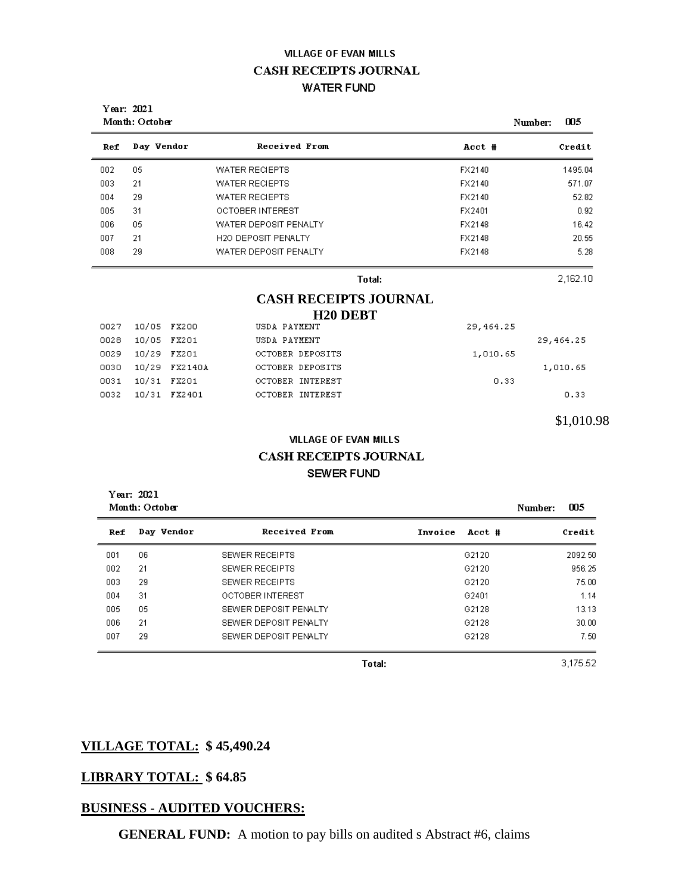# **VILLAGE OF EVAN MILLS CASH RECEIPTS JOURNAL WATER FUND**

|     | Year: 2021<br>Month: October |                            |        | 005<br>Number: |  |
|-----|------------------------------|----------------------------|--------|----------------|--|
| Ref | Day Vendor                   | Received From              | Acct # | Credit         |  |
| 002 | 05                           | <b>WATER RECIEPTS</b>      | FX2140 | 1495.04        |  |
| 003 | 21                           | WATER RECIEPTS             | FX2140 | 571.07         |  |
| 004 | 29                           | <b>WATER RECIEPTS</b>      | FX2140 | 52.82          |  |
| 005 | 31                           | OCTOBER INTEREST           | FX2401 | 0.92           |  |
| 006 | 05                           | WATER DEPOSIT PENALTY      | FX2148 | 16.42          |  |
| 007 | 21                           | <b>H2O DEPOSIT PENALTY</b> | FX2148 | 20.55          |  |
| 008 | 29                           | WATER DEPOSIT PENALTY      | FX2148 | 5.28           |  |
|     |                              | Total:                     |        | 2,162.10       |  |

#### **CASH RECEIPTS JOURNAL H20 DEBT**

|            | 29, 464.25 |                  | USDA PAYMENT | 10/05 FX200   | 0027 |
|------------|------------|------------------|--------------|---------------|------|
| 29, 464.25 |            |                  | USDA PAYMENT | 10/05 FX201   | 0028 |
|            | 1,010.65   | OCTOBER DEPOSITS |              | 10/29 FX201   | 0029 |
| 1,010.65   |            | OCTOBER DEPOSITS |              | 10/29 FX2140A | 0030 |
|            | 0.33       | OCTOBER INTEREST |              | 10/31 FX201   | 0031 |
| 0.33       |            | OCTOBER INTEREST |              | 10/31 FX2401  | 0032 |
|            |            |                  |              |               |      |

\$1,010.98

# **VILLAGE OF EVAN MILLS CASH RECEIPTS JOURNAL SEWER FUND**

Year: 2021 Month: October Number: 005 **Received From** Day Vendor Ref Invoice Acct # Credit 001  $06\,$ SEWER RECEIPTS G2120 2092.50 002 21 SEWER RECEIPTS G2120 956.25 G2120 003 29 SEWER RECEIPTS 75.00  $004\,$ OCTOBER INTEREST 31 G2401 1.14 005 SEWER DEPOSIT PENALTY 05 G2128 13.13 006 21 SEWER DEPOSIT PENALTY G2128  $30.00$ 007 SEWER DEPOSIT PENALTY G2128 29 7.50

Total:

3,175.52

# **VILLAGE TOTAL: \$ 45,490.24**

# **LIBRARY TOTAL: \$ 64.85**

# **BUSINESS - AUDITED VOUCHERS:**

**GENERAL FUND:** A motion to pay bills on audited s Abstract #6, claims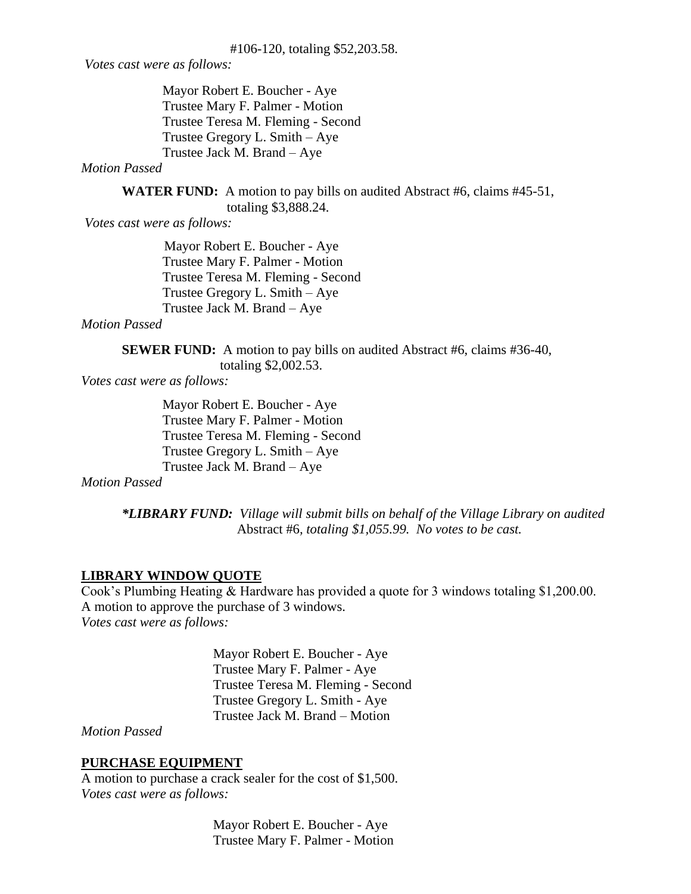*Votes cast were as follows:*

Mayor Robert E. Boucher - Aye Trustee Mary F. Palmer - Motion Trustee Teresa M. Fleming - Second Trustee Gregory L. Smith – Aye Trustee Jack M. Brand – Aye

#### *Motion Passed*

**WATER FUND:** A motion to pay bills on audited Abstract #6, claims #45-51, totaling \$3,888.24.

*Votes cast were as follows:*

Mayor Robert E. Boucher - Aye Trustee Mary F. Palmer - Motion Trustee Teresa M. Fleming - Second Trustee Gregory L. Smith – Aye Trustee Jack M. Brand – Aye

*Motion Passed*

**SEWER FUND:** A motion to pay bills on audited Abstract #6, claims #36-40, totaling \$2,002.53.

*Votes cast were as follows:*

Mayor Robert E. Boucher - Aye Trustee Mary F. Palmer - Motion Trustee Teresa M. Fleming - Second Trustee Gregory L. Smith – Aye Trustee Jack M. Brand – Aye

*Motion Passed*

*\*LIBRARY FUND: Village will submit bills on behalf of the Village Library on audited* Abstract #6*, totaling \$1,055.99. No votes to be cast.*

# **LIBRARY WINDOW QUOTE**

Cook's Plumbing Heating & Hardware has provided a quote for 3 windows totaling \$1,200.00. A motion to approve the purchase of 3 windows. *Votes cast were as follows:*

> Mayor Robert E. Boucher - Aye Trustee Mary F. Palmer - Aye Trustee Teresa M. Fleming - Second Trustee Gregory L. Smith - Aye Trustee Jack M. Brand – Motion

*Motion Passed*

# **PURCHASE EQUIPMENT**

A motion to purchase a crack sealer for the cost of \$1,500. *Votes cast were as follows:*

> Mayor Robert E. Boucher - Aye Trustee Mary F. Palmer - Motion